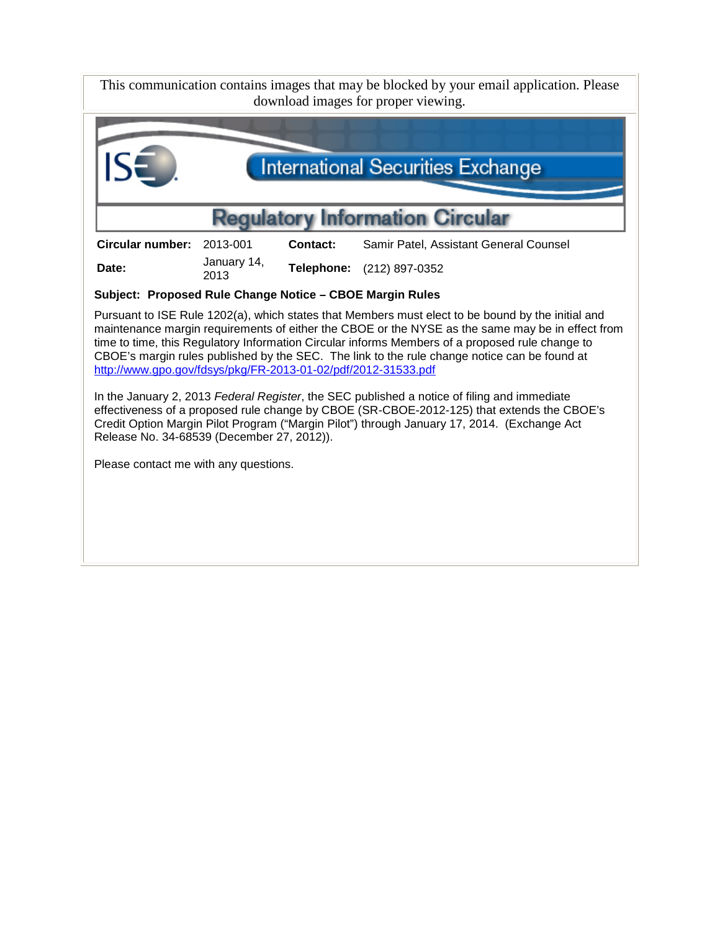This communication contains images that may be blocked by your email application. Please download images for proper viewing.



**Date:** January 14,<br>2013

<sup>2013</sup> **Telephone:** (212) 897-0352

**Subject: Proposed Rule Change Notice – CBOE Margin Rules**

Pursuant to ISE Rule 1202(a), which states that Members must elect to be bound by the initial and maintenance margin requirements of either the CBOE or the NYSE as the same may be in effect from time to time, this Regulatory Information Circular informs Members of a proposed rule change to CBOE's margin rules published by the SEC. The link to the rule change notice can be found at <http://www.gpo.gov/fdsys/pkg/FR-2013-01-02/pdf/2012-31533.pdf>

In the January 2, 2013 *Federal Register*, the SEC published a notice of filing and immediate effectiveness of a proposed rule change by CBOE (SR-CBOE-2012-125) that extends the CBOE's Credit Option Margin Pilot Program ("Margin Pilot") through January 17, 2014. (Exchange Act Release No. 34-68539 (December 27, 2012)).

Please contact me with any questions.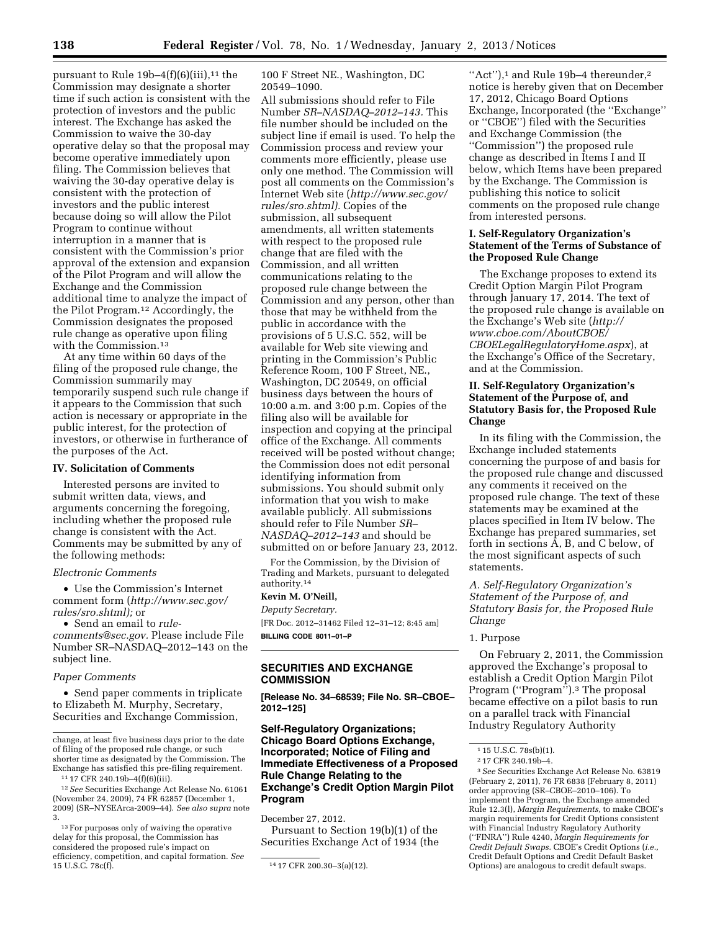pursuant to Rule  $19b-4(f)(6)(iii)$ ,<sup>11</sup> the Commission may designate a shorter time if such action is consistent with the protection of investors and the public interest. The Exchange has asked the Commission to waive the 30-day operative delay so that the proposal may become operative immediately upon filing. The Commission believes that waiving the 30-day operative delay is consistent with the protection of investors and the public interest because doing so will allow the Pilot Program to continue without interruption in a manner that is consistent with the Commission's prior approval of the extension and expansion of the Pilot Program and will allow the Exchange and the Commission additional time to analyze the impact of the Pilot Program.12 Accordingly, the Commission designates the proposed rule change as operative upon filing with the Commission.13

At any time within 60 days of the filing of the proposed rule change, the Commission summarily may temporarily suspend such rule change if it appears to the Commission that such action is necessary or appropriate in the public interest, for the protection of investors, or otherwise in furtherance of the purposes of the Act.

### **IV. Solicitation of Comments**

Interested persons are invited to submit written data, views, and arguments concerning the foregoing, including whether the proposed rule change is consistent with the Act. Comments may be submitted by any of the following methods:

### *Electronic Comments*

• Use the Commission's Internet comment form (*[http://www.sec.gov/](http://www.sec.gov/rules/sro.shtml)  [rules/sro.shtml\);](http://www.sec.gov/rules/sro.shtml)* or

• Send an email to *[rule-](mailto:rule-comments@sec.gov)*

*[comments@sec.gov.](mailto:rule-comments@sec.gov)* Please include File Number SR–NASDAQ–2012–143 on the subject line.

### *Paper Comments*

• Send paper comments in triplicate to Elizabeth M. Murphy, Secretary, Securities and Exchange Commission,

100 F Street NE., Washington, DC 20549–1090.

All submissions should refer to File Number *SR–NASDAQ–2012–143.* This file number should be included on the subject line if email is used. To help the Commission process and review your comments more efficiently, please use only one method. The Commission will post all comments on the Commission's Internet Web site (*[http://www.sec.gov/](http://www.sec.gov/rules/sro.shtml)  [rules/sro.shtml\).](http://www.sec.gov/rules/sro.shtml)* Copies of the submission, all subsequent amendments, all written statements with respect to the proposed rule change that are filed with the Commission, and all written communications relating to the proposed rule change between the Commission and any person, other than those that may be withheld from the public in accordance with the provisions of 5 U.S.C. 552, will be available for Web site viewing and printing in the Commission's Public Reference Room, 100 F Street, NE., Washington, DC 20549, on official business days between the hours of 10:00 a.m. and 3:00 p.m. Copies of the filing also will be available for inspection and copying at the principal office of the Exchange. All comments received will be posted without change; the Commission does not edit personal identifying information from submissions. You should submit only information that you wish to make available publicly. All submissions should refer to File Number *SR– NASDAQ–2012–143* and should be submitted on or before January 23, 2012.

For the Commission, by the Division of Trading and Markets, pursuant to delegated authority.14

#### **Kevin M. O'Neill,**

*Deputy Secretary.*  [FR Doc. 2012–31462 Filed 12–31–12; 8:45 am]

**BILLING CODE 8011–01–P** 

# **SECURITIES AND EXCHANGE COMMISSION**

**[Release No. 34–68539; File No. SR–CBOE– 2012–125]** 

# **Self-Regulatory Organizations; Chicago Board Options Exchange, Incorporated; Notice of Filing and Immediate Effectiveness of a Proposed Rule Change Relating to the Exchange's Credit Option Margin Pilot Program**

December 27, 2012.

Pursuant to Section 19(b)(1) of the Securities Exchange Act of 1934 (the

"Act"), $1$  and Rule 19b-4 thereunder, $2$ notice is hereby given that on December 17, 2012, Chicago Board Options Exchange, Incorporated (the ''Exchange'' or ''CBOE'') filed with the Securities and Exchange Commission (the ''Commission'') the proposed rule change as described in Items I and II below, which Items have been prepared by the Exchange. The Commission is publishing this notice to solicit comments on the proposed rule change from interested persons.

### **I. Self-Regulatory Organization's Statement of the Terms of Substance of the Proposed Rule Change**

The Exchange proposes to extend its Credit Option Margin Pilot Program through January 17, 2014. The text of the proposed rule change is available on the Exchange's Web site (*[http://](http://www.cboe.com/AboutCBOE/CBOELegalRegulatoryHome.aspx) [www.cboe.com/AboutCBOE/](http://www.cboe.com/AboutCBOE/CBOELegalRegulatoryHome.aspx)  [CBOELegalRegulatoryHome.aspx](http://www.cboe.com/AboutCBOE/CBOELegalRegulatoryHome.aspx)*), at the Exchange's Office of the Secretary, and at the Commission.

# **II. Self-Regulatory Organization's Statement of the Purpose of, and Statutory Basis for, the Proposed Rule Change**

In its filing with the Commission, the Exchange included statements concerning the purpose of and basis for the proposed rule change and discussed any comments it received on the proposed rule change. The text of these statements may be examined at the places specified in Item IV below. The Exchange has prepared summaries, set forth in sections A, B, and C below, of the most significant aspects of such statements.

*A. Self-Regulatory Organization's Statement of the Purpose of, and Statutory Basis for, the Proposed Rule Change* 

### 1. Purpose

On February 2, 2011, the Commission approved the Exchange's proposal to establish a Credit Option Margin Pilot Program ("Program").<sup>3</sup> The proposal became effective on a pilot basis to run on a parallel track with Financial Industry Regulatory Authority

3*See* Securities Exchange Act Release No. 63819 (February 2, 2011), 76 FR 6838 (February 8, 2011) order approving (SR–CBOE–2010–106). To implement the Program, the Exchange amended Rule 12.3(l), *Margin Requirements,* to make CBOE's margin requirements for Credit Options consistent with Financial Industry Regulatory Authority (''FINRA'') Rule 4240, *Margin Requirements for Credit Default Swaps.* CBOE's Credit Options (*i.e.,*  Credit Default Options and Credit Default Basket Options) are analogous to credit default swaps.

change, at least five business days prior to the date of filing of the proposed rule change, or such shorter time as designated by the Commission. The Exchange has satisfied this pre-filing requirement. 11 17 CFR 240.19b–4(f)(6)(iii).

<sup>12</sup>*See* Securities Exchange Act Release No. 61061

<sup>(</sup>November 24, 2009), 74 FR 62857 (December 1, 2009) (SR–NYSEArca-2009–44). *See also supra* note 3.

<sup>&</sup>lt;sup>13</sup> For purposes only of waiving the operative delay for this proposal, the Commission has considered the proposed rule's impact on efficiency, competition, and capital formation. *See* 

<sup>14 17</sup> CFR 200.30-3(a)(12).

<sup>1</sup> 15 U.S.C. 78s(b)(1).

<sup>2</sup> 17 CFR 240.19b–4.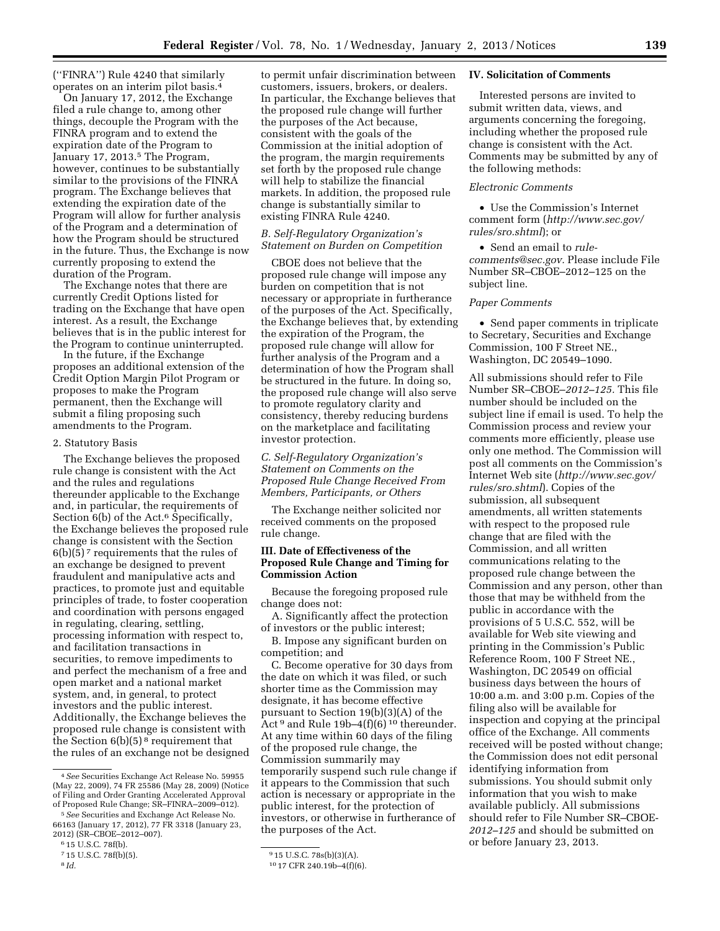(''FINRA'') Rule 4240 that similarly operates on an interim pilot basis.4

On January 17, 2012, the Exchange filed a rule change to, among other things, decouple the Program with the FINRA program and to extend the expiration date of the Program to January 17, 2013.<sup>5</sup> The Program, however, continues to be substantially similar to the provisions of the FINRA program. The Exchange believes that extending the expiration date of the Program will allow for further analysis of the Program and a determination of how the Program should be structured in the future. Thus, the Exchange is now currently proposing to extend the duration of the Program.

The Exchange notes that there are currently Credit Options listed for trading on the Exchange that have open interest. As a result, the Exchange believes that is in the public interest for the Program to continue uninterrupted.

In the future, if the Exchange proposes an additional extension of the Credit Option Margin Pilot Program or proposes to make the Program permanent, then the Exchange will submit a filing proposing such amendments to the Program.

### 2. Statutory Basis

The Exchange believes the proposed rule change is consistent with the Act and the rules and regulations thereunder applicable to the Exchange and, in particular, the requirements of Section 6(b) of the Act.<sup>6</sup> Specifically, the Exchange believes the proposed rule change is consistent with the Section  $6(b)(5)^7$  requirements that the rules of an exchange be designed to prevent fraudulent and manipulative acts and practices, to promote just and equitable principles of trade, to foster cooperation and coordination with persons engaged in regulating, clearing, settling, processing information with respect to, and facilitation transactions in securities, to remove impediments to and perfect the mechanism of a free and open market and a national market system, and, in general, to protect investors and the public interest. Additionally, the Exchange believes the proposed rule change is consistent with the Section  $6(b)(5)^8$  requirement that the rules of an exchange not be designed to permit unfair discrimination between customers, issuers, brokers, or dealers. In particular, the Exchange believes that the proposed rule change will further the purposes of the Act because, consistent with the goals of the Commission at the initial adoption of the program, the margin requirements set forth by the proposed rule change will help to stabilize the financial markets. In addition, the proposed rule change is substantially similar to existing FINRA Rule 4240.

# *B. Self-Regulatory Organization's Statement on Burden on Competition*

CBOE does not believe that the proposed rule change will impose any burden on competition that is not necessary or appropriate in furtherance of the purposes of the Act. Specifically, the Exchange believes that, by extending the expiration of the Program, the proposed rule change will allow for further analysis of the Program and a determination of how the Program shall be structured in the future. In doing so, the proposed rule change will also serve to promote regulatory clarity and consistency, thereby reducing burdens on the marketplace and facilitating investor protection.

### *C. Self-Regulatory Organization's Statement on Comments on the Proposed Rule Change Received From Members, Participants, or Others*

The Exchange neither solicited nor received comments on the proposed rule change.

### **III. Date of Effectiveness of the Proposed Rule Change and Timing for Commission Action**

Because the foregoing proposed rule change does not:

A. Significantly affect the protection of investors or the public interest;

B. Impose any significant burden on competition; and

C. Become operative for 30 days from the date on which it was filed, or such shorter time as the Commission may designate, it has become effective pursuant to Section 19(b)(3)(A) of the Act $^9$  and Rule 19b–4(f)(6)  $^{\rm 10}$  thereunder. At any time within 60 days of the filing of the proposed rule change, the Commission summarily may temporarily suspend such rule change if it appears to the Commission that such action is necessary or appropriate in the public interest, for the protection of investors, or otherwise in furtherance of the purposes of the Act.

#### **IV. Solicitation of Comments**

Interested persons are invited to submit written data, views, and arguments concerning the foregoing, including whether the proposed rule change is consistent with the Act. Comments may be submitted by any of the following methods:

# *Electronic Comments*

• Use the Commission's Internet comment form (*[http://www.sec.gov/](http://www.sec.gov/rules/sro.shtml)  [rules/sro.shtml](http://www.sec.gov/rules/sro.shtml)*); or

• Send an email to *[rule](mailto:rule-comments@sec.gov)[comments@sec.gov.](mailto:rule-comments@sec.gov)* Please include File Number SR–CBOE–2012–125 on the subject line.

### *Paper Comments*

• Send paper comments in triplicate to Secretary, Securities and Exchange Commission, 100 F Street NE., Washington, DC 20549–1090.

All submissions should refer to File Number SR–CBOE–*2012–125.* This file number should be included on the subject line if email is used. To help the Commission process and review your comments more efficiently, please use only one method. The Commission will post all comments on the Commission's Internet Web site (*[http://www.sec.gov/](http://www.sec.gov/rules/sro.shtml)  [rules/sro.shtml](http://www.sec.gov/rules/sro.shtml)*). Copies of the submission, all subsequent amendments, all written statements with respect to the proposed rule change that are filed with the Commission, and all written communications relating to the proposed rule change between the Commission and any person, other than those that may be withheld from the public in accordance with the provisions of 5 U.S.C. 552, will be available for Web site viewing and printing in the Commission's Public Reference Room, 100 F Street NE., Washington, DC 20549 on official business days between the hours of 10:00 a.m. and 3:00 p.m. Copies of the filing also will be available for inspection and copying at the principal office of the Exchange. All comments received will be posted without change; the Commission does not edit personal identifying information from submissions. You should submit only information that you wish to make available publicly. All submissions should refer to File Number SR–CBOE-*2012–125* and should be submitted on or before January 23, 2013.

<sup>4</sup>*See* Securities Exchange Act Release No. 59955 (May 22, 2009), 74 FR 25586 (May 28, 2009) (Notice of Filing and Order Granting Accelerated Approval of Proposed Rule Change; SR–FINRA–2009–012).

<sup>5</sup>*See* Securities and Exchange Act Release No. 66163 (January 17, 2012), 77 FR 3318 (January 23, 2012) (SR–CBOE–2012–007).

<sup>6</sup> 15 U.S.C. 78f(b).

<sup>7</sup> 15 U.S.C. 78f(b)(5).

<sup>8</sup> *Id.* 

<sup>9</sup> 15 U.S.C. 78s(b)(3)(A).

<sup>10</sup> 17 CFR 240.19b–4(f)(6).